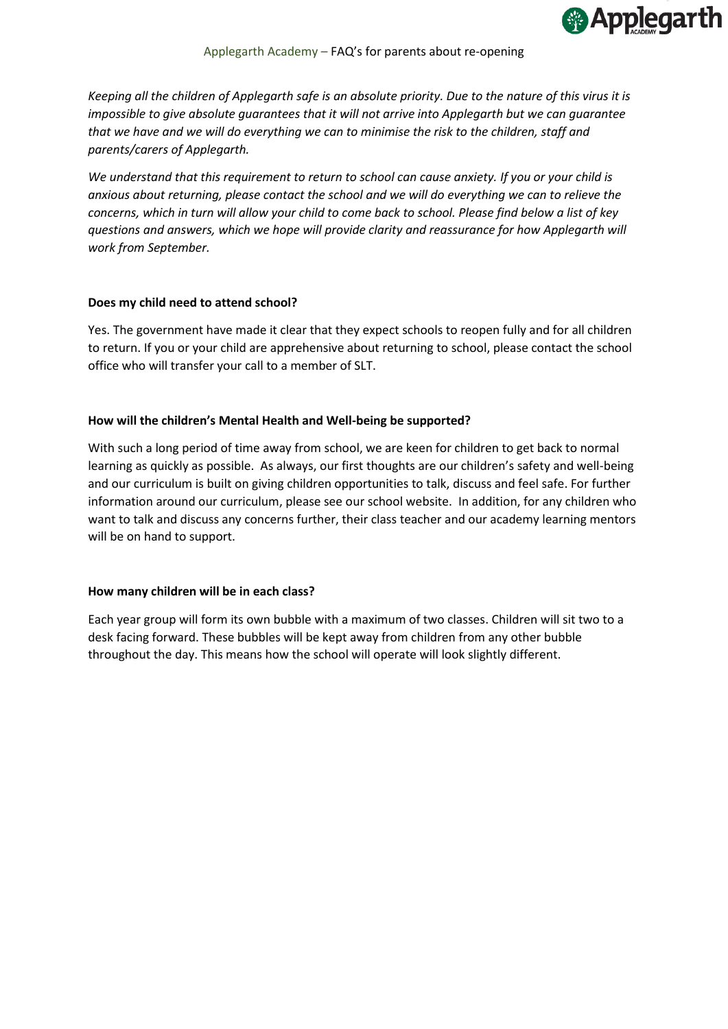

*Keeping all the children of Applegarth safe is an absolute priority. Due to the nature of this virus it is impossible to give absolute quarantees that it will not arrive into Applegarth but we can quarantee that we have and we will do everything we can to minimise the risk to the children, staff and parents/carers of Applegarth.*

*We understand that this requirement to return to school can cause anxiety. If you or your child is anxious about returning, please contact the school and we will do everything we can to relieve the concerns, which in turn will allow your child to come back to school. Please find below a list of key questions and answers, which we hope will provide clarity and reassurance for how Applegarth will work from September.*

## **Does my child need to attend school?**

Yes. The government have made it clear that they expect schools to reopen fully and for all children to return. If you or your child are apprehensive about returning to school, please contact the school office who will transfer your call to a member of SLT.

## **How will the children's Mental Health and Well-being be supported?**

With such a long period of time away from school, we are keen for children to get back to normal learning as quickly as possible. As always, our first thoughts are our children's safety and well-being and our curriculum is built on giving children opportunities to talk, discuss and feel safe. For further information around our curriculum, please see our school website. In addition, for any children who want to talk and discuss any concerns further, their class teacher and our academy learning mentors will be on hand to support.

# **How many children will be in each class?**

Each year group will form its own bubble with a maximum of two classes. Children will sit two to a desk facing forward. These bubbles will be kept away from children from any other bubble throughout the day. This means how the school will operate will look slightly different.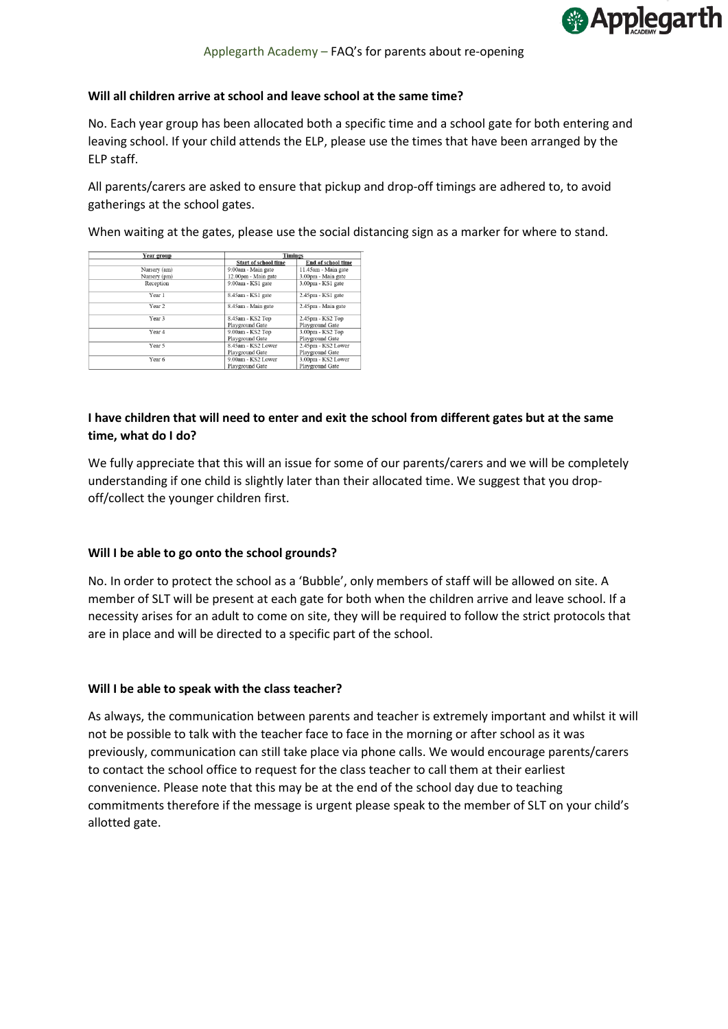

## **Will all children arrive at school and leave school at the same time?**

No. Each year group has been allocated both a specific time and a school gate for both entering and leaving school. If your child attends the ELP, please use the times that have been arranged by the ELP staff.

All parents/carers are asked to ensure that pickup and drop-off timings are adhered to, to avoid gatherings at the school gates.

When waiting at the gates, please use the social distancing sign as a marker for where to stand.

| <b>Year group</b> | 1 mings                     |                           |
|-------------------|-----------------------------|---------------------------|
|                   | <b>Start of school time</b> | <b>End of school time</b> |
| Nursery (am)      | 9:00am - Main gate          | 11.45am - Main gate       |
| Nursery (pm)      | 12.00pm - Main gate         | 3.00pm - Main gate        |
| Reception         | 9:00am - KS1 gate           | 3.00pm - KS1 gate         |
| Year 1            | 8.45am - KS1 gate           | 2.45pm - KS1 gate         |
| Year <sub>2</sub> | 8.45am - Main gate          | 2.45pm - Main gate        |
| Year 3            | 8.45am - KS2 Top            | 2.45pm - KS2 Top          |
|                   | Playground Gate             | Playground Gate           |
| Year 4            | 9.00am - KS2 Top            | 3.00pm - KS2 Top          |
|                   | Playground Gate             | Playground Gate           |
| Year 5            | 8.45am - KS2 Lower          | 2.45pm - KS2 Lower        |
|                   | Playground Gate             | Playground Gate           |
| Year 6            | 9.00am - KS2 Lower          | 3.00pm - KS2 Lower        |
|                   | Playground Gate             | Playground Gate           |
|                   |                             |                           |

# **I have children that will need to enter and exit the school from different gates but at the same time, what do I do?**

We fully appreciate that this will an issue for some of our parents/carers and we will be completely understanding if one child is slightly later than their allocated time. We suggest that you dropoff/collect the younger children first.

# **Will I be able to go onto the school grounds?**

No. In order to protect the school as a 'Bubble', only members of staff will be allowed on site. A member of SLT will be present at each gate for both when the children arrive and leave school. If a necessity arises for an adult to come on site, they will be required to follow the strict protocols that are in place and will be directed to a specific part of the school.

# **Will I be able to speak with the class teacher?**

As always, the communication between parents and teacher is extremely important and whilst it will not be possible to talk with the teacher face to face in the morning or after school as it was previously, communication can still take place via phone calls. We would encourage parents/carers to contact the school office to request for the class teacher to call them at their earliest convenience. Please note that this may be at the end of the school day due to teaching commitments therefore if the message is urgent please speak to the member of SLT on your child's allotted gate.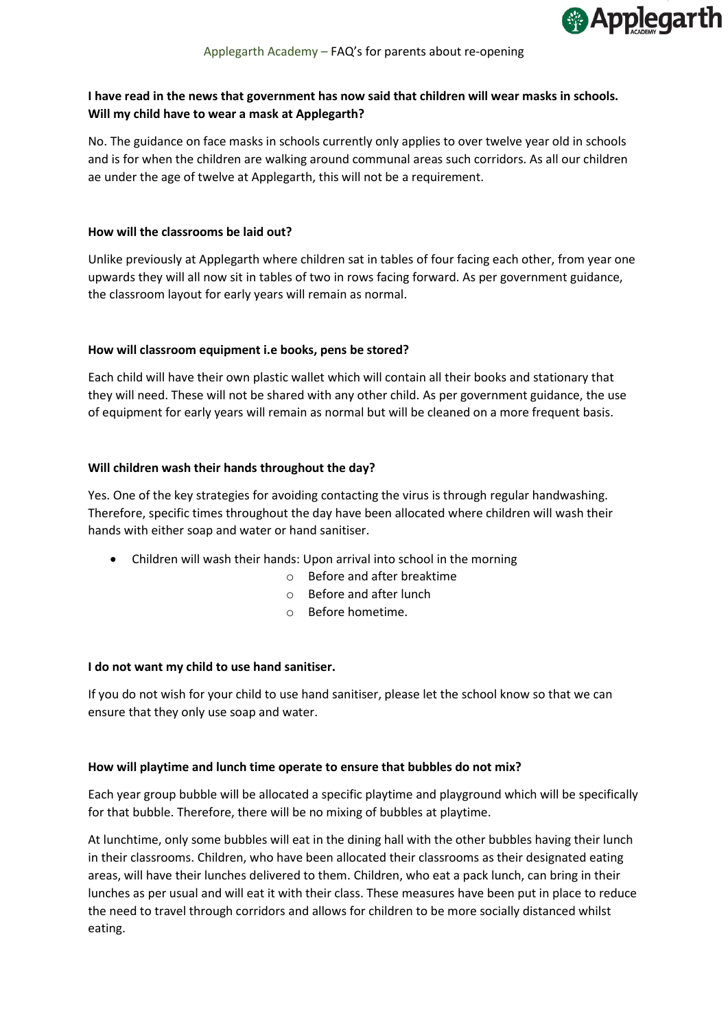

# **I have read in the news that government has now said that children will wear masks in schools. Will my child have to wear a mask at Applegarth?**

No. The guidance on face masks in schools currently only applies to over twelve year old in schools and is for when the children are walking around communal areas such corridors. As all our children ae under the age of twelve at Applegarth, this will not be a requirement.

## **How will the classrooms be laid out?**

Unlike previously at Applegarth where children sat in tables of four facing each other, from year one upwards they will all now sit in tables of two in rows facing forward. As per government guidance, the classroom layout for early years will remain as normal.

## **How will classroom equipment i.e books, pens be stored?**

Each child will have their own plastic wallet which will contain all their books and stationary that they will need. These will not be shared with any other child. As per government guidance, the use of equipment for early years will remain as normal but will be cleaned on a more frequent basis.

## **Will children wash their hands throughout the day?**

Yes. One of the key strategies for avoiding contacting the virus is through regular handwashing. Therefore, specific times throughout the day have been allocated where children will wash their hands with either soap and water or hand sanitiser.

- Children will wash their hands: Upon arrival into school in the morning
	- o Before and after breaktime
	- o Before and after lunch
	- o Before hometime.

# **I do not want my child to use hand sanitiser.**

If you do not wish for your child to use hand sanitiser, please let the school know so that we can ensure that they only use soap and water.

#### **How will playtime and lunch time operate to ensure that bubbles do not mix?**

Each year group bubble will be allocated a specific playtime and playground which will be specifically for that bubble. Therefore, there will be no mixing of bubbles at playtime.

At lunchtime, only some bubbles will eat in the dining hall with the other bubbles having their lunch in their classrooms. Children, who have been allocated their classrooms as their designated eating areas, will have their lunches delivered to them. Children, who eat a pack lunch, can bring in their lunches as per usual and will eat it with their class. These measures have been put in place to reduce the need to travel through corridors and allows for children to be more socially distanced whilst eating.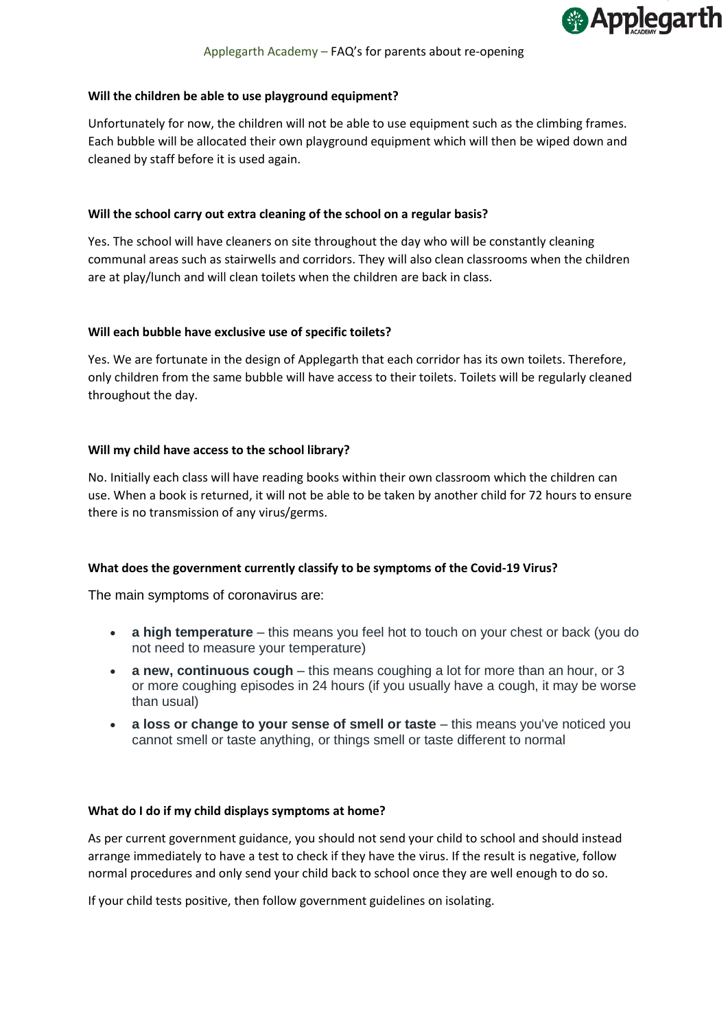

#### **Will the children be able to use playground equipment?**

Unfortunately for now, the children will not be able to use equipment such as the climbing frames. Each bubble will be allocated their own playground equipment which will then be wiped down and cleaned by staff before it is used again.

## **Will the school carry out extra cleaning of the school on a regular basis?**

Yes. The school will have cleaners on site throughout the day who will be constantly cleaning communal areas such as stairwells and corridors. They will also clean classrooms when the children are at play/lunch and will clean toilets when the children are back in class.

## **Will each bubble have exclusive use of specific toilets?**

Yes. We are fortunate in the design of Applegarth that each corridor has its own toilets. Therefore, only children from the same bubble will have access to their toilets. Toilets will be regularly cleaned throughout the day.

## **Will my child have access to the school library?**

No. Initially each class will have reading books within their own classroom which the children can use. When a book is returned, it will not be able to be taken by another child for 72 hours to ensure there is no transmission of any virus/germs.

#### **What does the government currently classify to be symptoms of the Covid-19 Virus?**

The main symptoms of coronavirus are:

- **a high temperature** this means you feel hot to touch on your chest or back (you do not need to measure your temperature)
- **a new, continuous cough** this means coughing a lot for more than an hour, or 3 or more coughing episodes in 24 hours (if you usually have a cough, it may be worse than usual)
- **a loss or change to your sense of smell or taste** this means you've noticed you cannot smell or taste anything, or things smell or taste different to normal

#### **What do I do if my child displays symptoms at home?**

As per current government guidance, you should not send your child to school and should instead arrange immediately to have a test to check if they have the virus. If the result is negative, follow normal procedures and only send your child back to school once they are well enough to do so.

If your child tests positive, then follow government guidelines on isolating.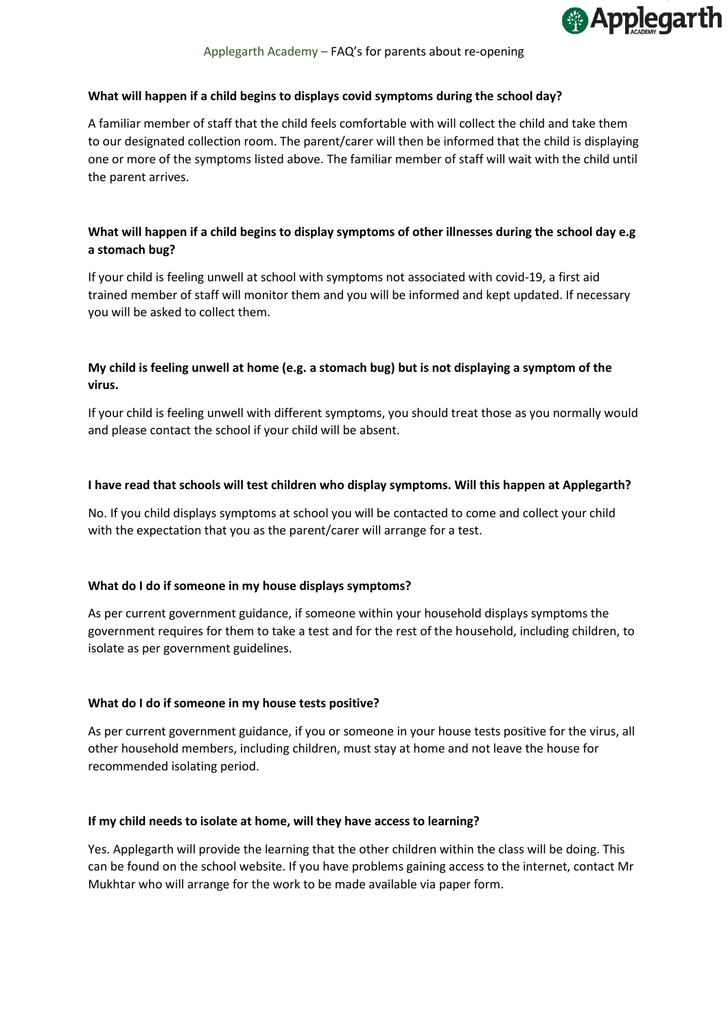

## **What will happen if a child begins to displays covid symptoms during the school day?**

A familiar member of staff that the child feels comfortable with will collect the child and take them to our designated collection room. The parent/carer will then be informed that the child is displaying one or more of the symptoms listed above. The familiar member of staff will wait with the child until the parent arrives.

# **What will happen if a child begins to display symptoms of other illnesses during the school day e.g a stomach bug?**

If your child is feeling unwell at school with symptoms not associated with covid-19, a first aid trained member of staff will monitor them and you will be informed and kept updated. If necessary you will be asked to collect them.

# **My child is feeling unwell at home (e.g. a stomach bug) but is not displaying a symptom of the virus.**

If your child is feeling unwell with different symptoms, you should treat those as you normally would and please contact the school if your child will be absent.

## **I have read that schools will test children who display symptoms. Will this happen at Applegarth?**

No. If you child displays symptoms at school you will be contacted to come and collect your child with the expectation that you as the parent/carer will arrange for a test.

#### **What do I do if someone in my house displays symptoms?**

As per current government guidance, if someone within your household displays symptoms the government requires for them to take a test and for the rest of the household, including children, to isolate as per government guidelines.

#### **What do I do if someone in my house tests positive?**

As per current government guidance, if you or someone in your house tests positive for the virus, all other household members, including children, must stay at home and not leave the house for recommended isolating period.

#### **If my child needs to isolate at home, will they have access to learning?**

Yes. Applegarth will provide the learning that the other children within the class will be doing. This can be found on the school website. If you have problems gaining access to the internet, contact Mr Mukhtar who will arrange for the work to be made available via paper form.